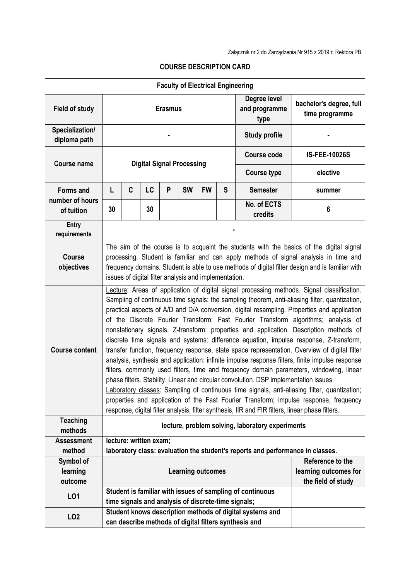|                                 |                                                                                                                                                                                                                                                                                                                                             |                                                                                                                                                                                                                                                                                                                                                                                                                                                                                                                                                                                                                                                                                                                                                                                                                                                                                                                                                                                                                                                                                                                                                                                                                                                          |                        |   |           |                       |               | <b>Faculty of Electrical Engineering</b>                                       |                      |  |
|---------------------------------|---------------------------------------------------------------------------------------------------------------------------------------------------------------------------------------------------------------------------------------------------------------------------------------------------------------------------------------------|----------------------------------------------------------------------------------------------------------------------------------------------------------------------------------------------------------------------------------------------------------------------------------------------------------------------------------------------------------------------------------------------------------------------------------------------------------------------------------------------------------------------------------------------------------------------------------------------------------------------------------------------------------------------------------------------------------------------------------------------------------------------------------------------------------------------------------------------------------------------------------------------------------------------------------------------------------------------------------------------------------------------------------------------------------------------------------------------------------------------------------------------------------------------------------------------------------------------------------------------------------|------------------------|---|-----------|-----------------------|---------------|--------------------------------------------------------------------------------|----------------------|--|
| <b>Field of study</b>           | Degree level<br><b>Erasmus</b><br>type                                                                                                                                                                                                                                                                                                      |                                                                                                                                                                                                                                                                                                                                                                                                                                                                                                                                                                                                                                                                                                                                                                                                                                                                                                                                                                                                                                                                                                                                                                                                                                                          |                        |   |           |                       | and programme | bachelor's degree, full<br>time programme                                      |                      |  |
| Specialization/<br>diploma path |                                                                                                                                                                                                                                                                                                                                             |                                                                                                                                                                                                                                                                                                                                                                                                                                                                                                                                                                                                                                                                                                                                                                                                                                                                                                                                                                                                                                                                                                                                                                                                                                                          |                        |   |           |                       |               | <b>Study profile</b>                                                           |                      |  |
| <b>Course name</b>              | <b>Digital Signal Processing</b>                                                                                                                                                                                                                                                                                                            |                                                                                                                                                                                                                                                                                                                                                                                                                                                                                                                                                                                                                                                                                                                                                                                                                                                                                                                                                                                                                                                                                                                                                                                                                                                          |                        |   |           |                       |               | <b>Course code</b>                                                             | <b>IS-FEE-10026S</b> |  |
|                                 |                                                                                                                                                                                                                                                                                                                                             |                                                                                                                                                                                                                                                                                                                                                                                                                                                                                                                                                                                                                                                                                                                                                                                                                                                                                                                                                                                                                                                                                                                                                                                                                                                          |                        |   |           |                       |               | <b>Course type</b>                                                             | elective             |  |
| <b>Forms and</b>                | L                                                                                                                                                                                                                                                                                                                                           | C                                                                                                                                                                                                                                                                                                                                                                                                                                                                                                                                                                                                                                                                                                                                                                                                                                                                                                                                                                                                                                                                                                                                                                                                                                                        | LC                     | P | <b>SW</b> | <b>FW</b>             | S             | <b>Semester</b>                                                                | summer               |  |
| number of hours<br>of tuition   | 30                                                                                                                                                                                                                                                                                                                                          |                                                                                                                                                                                                                                                                                                                                                                                                                                                                                                                                                                                                                                                                                                                                                                                                                                                                                                                                                                                                                                                                                                                                                                                                                                                          | 30                     |   |           |                       |               | No. of ECTS<br>credits                                                         | 6                    |  |
| Entry<br>requirements           |                                                                                                                                                                                                                                                                                                                                             |                                                                                                                                                                                                                                                                                                                                                                                                                                                                                                                                                                                                                                                                                                                                                                                                                                                                                                                                                                                                                                                                                                                                                                                                                                                          |                        |   |           |                       |               |                                                                                |                      |  |
| <b>Course</b><br>objectives     | The aim of the course is to acquaint the students with the basics of the digital signal<br>processing. Student is familiar and can apply methods of signal analysis in time and<br>frequency domains. Student is able to use methods of digital filter design and is familiar with<br>issues of digital filter analysis and implementation. |                                                                                                                                                                                                                                                                                                                                                                                                                                                                                                                                                                                                                                                                                                                                                                                                                                                                                                                                                                                                                                                                                                                                                                                                                                                          |                        |   |           |                       |               |                                                                                |                      |  |
| <b>Course content</b>           |                                                                                                                                                                                                                                                                                                                                             | Lecture: Areas of application of digital signal processing methods. Signal classification.<br>Sampling of continuous time signals: the sampling theorem, anti-aliasing filter, quantization,<br>practical aspects of A/D and D/A conversion, digital resampling. Properties and application<br>of the Discrete Fourier Transform; Fast Fourier Transform algorithms; analysis of<br>nonstationary signals. Z-transform: properties and application. Description methods of<br>discrete time signals and systems: difference equation, impulse response, Z-transform,<br>transfer function, frequency response, state space representation. Overview of digital filter<br>analysis, synthesis and application: infinite impulse response filters, finite impulse response<br>filters, commonly used filters, time and frequency domain parameters, windowing, linear<br>phase filters. Stability. Linear and circular convolution. DSP implementation issues.<br>Laboratory classes: Sampling of continuous time signals, anti-aliasing filter, quantization;<br>properties and application of the Fast Fourier Transform; impulse response, frequency<br>response, digital filter analysis, filter synthesis, IIR and FIR filters, linear phase filters. |                        |   |           |                       |               |                                                                                |                      |  |
| <b>Teaching</b><br>methods      | lecture, problem solving, laboratory experiments                                                                                                                                                                                                                                                                                            |                                                                                                                                                                                                                                                                                                                                                                                                                                                                                                                                                                                                                                                                                                                                                                                                                                                                                                                                                                                                                                                                                                                                                                                                                                                          |                        |   |           |                       |               |                                                                                |                      |  |
| <b>Assessment</b>               |                                                                                                                                                                                                                                                                                                                                             |                                                                                                                                                                                                                                                                                                                                                                                                                                                                                                                                                                                                                                                                                                                                                                                                                                                                                                                                                                                                                                                                                                                                                                                                                                                          | lecture: written exam; |   |           |                       |               |                                                                                |                      |  |
| method                          |                                                                                                                                                                                                                                                                                                                                             |                                                                                                                                                                                                                                                                                                                                                                                                                                                                                                                                                                                                                                                                                                                                                                                                                                                                                                                                                                                                                                                                                                                                                                                                                                                          |                        |   |           |                       |               | laboratory class: evaluation the student's reports and performance in classes. |                      |  |
| Symbol of                       |                                                                                                                                                                                                                                                                                                                                             |                                                                                                                                                                                                                                                                                                                                                                                                                                                                                                                                                                                                                                                                                                                                                                                                                                                                                                                                                                                                                                                                                                                                                                                                                                                          |                        |   |           |                       |               |                                                                                | Reference to the     |  |
| learning                        | <b>Learning outcomes</b>                                                                                                                                                                                                                                                                                                                    |                                                                                                                                                                                                                                                                                                                                                                                                                                                                                                                                                                                                                                                                                                                                                                                                                                                                                                                                                                                                                                                                                                                                                                                                                                                          |                        |   |           | learning outcomes for |               |                                                                                |                      |  |
| outcome                         |                                                                                                                                                                                                                                                                                                                                             |                                                                                                                                                                                                                                                                                                                                                                                                                                                                                                                                                                                                                                                                                                                                                                                                                                                                                                                                                                                                                                                                                                                                                                                                                                                          |                        |   |           |                       |               | Student is familiar with issues of sampling of continuous                      | the field of study   |  |
| LO1                             |                                                                                                                                                                                                                                                                                                                                             |                                                                                                                                                                                                                                                                                                                                                                                                                                                                                                                                                                                                                                                                                                                                                                                                                                                                                                                                                                                                                                                                                                                                                                                                                                                          |                        |   |           |                       |               |                                                                                |                      |  |
|                                 | time signals and analysis of discrete-time signals;<br>Student knows description methods of digital systems and                                                                                                                                                                                                                             |                                                                                                                                                                                                                                                                                                                                                                                                                                                                                                                                                                                                                                                                                                                                                                                                                                                                                                                                                                                                                                                                                                                                                                                                                                                          |                        |   |           |                       |               |                                                                                |                      |  |
| LO <sub>2</sub>                 |                                                                                                                                                                                                                                                                                                                                             |                                                                                                                                                                                                                                                                                                                                                                                                                                                                                                                                                                                                                                                                                                                                                                                                                                                                                                                                                                                                                                                                                                                                                                                                                                                          |                        |   |           |                       |               | can describe methods of digital filters synthesis and                          |                      |  |

## **COURSE DESCRIPTION CARD**